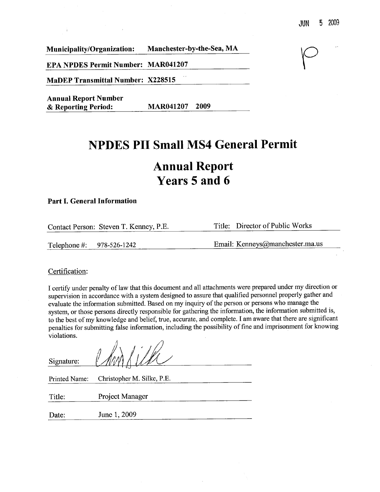Municipality/Organization: Manchester-by-the-Sea, MA

EPA NPDES Permit Number: MAR041207

MaDEP Transmittal Number: X228515

Annual Report Number & Reporting Period: MAR041207 2009

## NPDES PII Small MS4 General Permit

# Annual Report Years 5 and 6

### Part I. General Information

| Contact Person: Steven T. Kenney, P.E. | Title: Director of Public Works |
|----------------------------------------|---------------------------------|
|                                        |                                 |
| Telephone #: $978-526-1242$            | Email: Kenneys@manchester.ma.us |

### Certification:

I certify under penalty of law that this document and all attachments were prepared under my direction or supervision in accordance with a system designed to assure that qualified personnel properly gather and evaluate the information submitted. Based on my inquiry of the person or persons who manage the system, or those persons directly responsible for gathering the information, the information submitted is to the best of my knowledge and belief, tre, accurate, and complete. I am aware that there are significant penalties for submitting false information, including the possibility of fine and imprisonment for knowing violations.

| Signature:    |                            |
|---------------|----------------------------|
| Printed Name: | Christopher M. Silke, P.E. |
| Title:        | Project Manager            |
| Date:         | June 1, 2009               |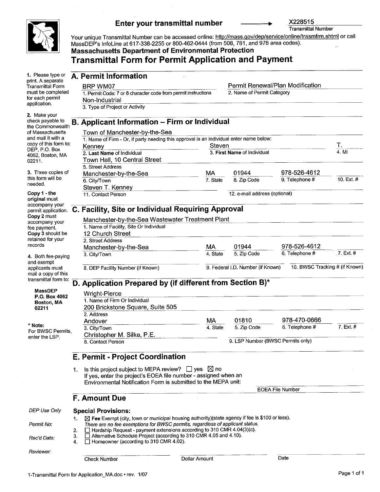

application.

needed. Copy 1 . the

fee payment.

and exempt

02211

\* Note:

records

X228515 Enter your transmittal number Transmittal Number Your unique Transmittal Number can be accessed online: http://mass.gov/dep/service/online/trasmfrm.shtml or call MassDEP's InfoLine at 617-338-2255 or 800-462-0444 (from 508, 781, and 978 area codes). Massachusetts Department of Environmental Protection Transmittal Form for Permit Application and Payment 1. Please type or A. Permit Information print. A separate BRP WM07 Permit Renewal/Plan Modification Transmittal Form must be completed 2. Name of Permit Category 1. Permit Code: 7 or 8 character code from permit instructions for each permit Non-Industrial 3. Type of Project or Activity 2. Make your check payable to **B. Applicant Information - Firm or Individual** the Commonwealth  $\sigma$  Massachusetts Town of Manchester-by-the-Sea of Massachusetts Town of Manchester-by-the-Sea<br>and mail it with a 1 Name of Firm - Or if party needing thi and mail it with a  $\frac{1}{1}$ . Name of Firm - Or, if party needing this approval is an individual enter name below:<br>copy of this form to: Kennov copy of this form to: Kenne Steven DEP, P.O. Box Т. DEP, P.O. Box<br>4062, Boston, MA 2. Last Name of Individual 3. First Name of Individual 3. 2. Last Name of Individual 3. First Name of Individual 4. MI Town Hall, 10 Central Street 5. Street Address 3. Three copies of 01944 978-526-4612 Manchester-by-the-Sea MA this form will be 8. Zip Code 9. Telephone # 10. Ext. # 6. City/Town 7. State Steven T. Kenney 12. e-mail address (optional) 11. Contact Person original must accompany your permit application. C. Facilty, Site or Individual Requiring Approval Copy 2 must Manchester-by-the-Sea Wastewater Treatment Plant accompany your 1. Name of Facilty, Site Or Individual Copy 3 should be 12 Church Street retained for your 2. Street Address **MA** 01944 978-526-4612 Manchester-by-the-Sea 4. State 5. Zip Code 6. Telephone # 5. Zip Code 7. Ext. # 3. City/Town 4. Both fee-paying 8. DEP Facility Number (if Known) 3. Federal I.D. Number (if Known) 10. BWSC Tracking # (if Known) 9. Federal I.D. Number (if Known) applicants must mail a copy of this transmittal form to: D. Application Prepared by (if different from Section B)\* MassDEP Wright-Pierce P.O. Box 4062 1. Name of Firm Or Individual Boston, MA 200 Brickstone Square, Suite 505 2. Address 978-470-0666 Andover MA 01810 7. Ext. # 4. State 5. Zip Code 6. Telephone # 5. Zip Code 3. City/Town For BWSC Permits, Christopher M. Silke, P. enter the LSP. 9. LSP Number (BWSC Permits only) 8. Contact Person

### E. Permit - Project Coordination

Is this project subject to MEPA review?  $\Box$  yes  $\boxtimes$  no  $1<sub>1</sub>$ If yes, enter the project's EOEA file number - assigned when an Environmental Notification Form is submitted to the MEPA unit:

EOEA File Number

### F. Amount Due

DEP Use Only

| nıv |         | Special Provisions:                                                                                       |  |  |  |  |  |
|-----|---------|-----------------------------------------------------------------------------------------------------------|--|--|--|--|--|
|     |         | $\boxtimes$ Fee Exempt (city, town or municipal housing authority)(state agency if fee is \$100 or less). |  |  |  |  |  |
|     |         | There are no fee exemptions for BWSC permits, regardless of applicant status.                             |  |  |  |  |  |
|     | $2^{+}$ | $\Box$ Hardship Request - payment extensions according to 310 CMR 4.04(3)(c).                             |  |  |  |  |  |
|     |         | □ Alternative Schedule Project (according to 310 CMR 4.05 and 4.10).                                      |  |  |  |  |  |
|     |         | $\Box$ Homeowner (according to 310 CMR 4.02).                                                             |  |  |  |  |  |

Permit No:

Rec'd Date:

**Check Number Dollar Amount Designation Check Number** Date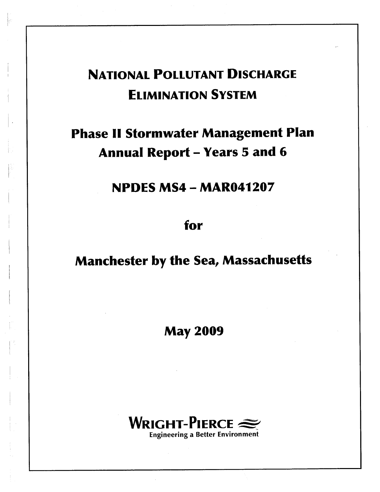# NATIONAL POLLUTANT DISCHARGE ELIMINATION SYSTEM

# Phase II Stormwater Management Plan Annual Report - Years 5 and 6

NPDES MS4 - MAR041207

for

Manchester by the Sea, Massachusetts

May 2009

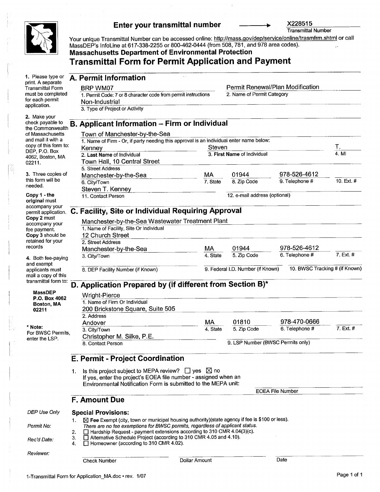

### Enter your transmittal number

X228515

Transmittal Number

Your unique Transmittal Number can be accessed online: <u>http://mass.gov/dep/service/online/trasmfrm.shtml</u> or call MassDEP's InfoLine at 617-338-2255 or 800-462-0444 (from 508, 781, and 978 area codes). **Massachusetts Department of Environmental Protection** 

### Transmittal Form for Permit Application and Payment

| 1. Please type or<br>print. A separate      |          | A. Permit Information                                                                                                                                 |          |                                   |                                |                    |
|---------------------------------------------|----------|-------------------------------------------------------------------------------------------------------------------------------------------------------|----------|-----------------------------------|--------------------------------|--------------------|
| <b>Transmittal Form</b>                     |          | BRP WM07                                                                                                                                              |          | Permit Renewal/Plan Modification  |                                |                    |
| must be completed                           |          | 1. Permit Code: 7 or 8 character code from permit instructions                                                                                        |          | 2. Name of Permit Category        |                                |                    |
| for each permit                             |          | Non-Industrial                                                                                                                                        |          |                                   |                                |                    |
| application.                                |          | 3. Type of Project or Activity                                                                                                                        |          |                                   |                                |                    |
| 2. Make your<br>check payable to            |          |                                                                                                                                                       |          |                                   |                                |                    |
| the Commonwealth                            |          | B. Applicant Information - Firm or Individual                                                                                                         |          |                                   |                                |                    |
| of Massachusetts                            |          | Town of Manchester-by-the-Sea                                                                                                                         |          |                                   |                                |                    |
| and mail it with a<br>copy of this form to: |          | 1. Name of Firm - Or, if party needing this approval is an individual enter name below:                                                               |          |                                   |                                |                    |
| DEP, P.O. Box                               |          | Kenney                                                                                                                                                | Steven   |                                   |                                | $\frac{1}{4}$ . MI |
| 4062, Boston, MA                            |          | 2. Last Name of Individual                                                                                                                            |          | 3. First Name of Individual       |                                |                    |
| 02211.                                      |          | Town Hall, 10 Central Street<br>5. Street Address                                                                                                     |          |                                   |                                |                    |
| 3. Three copies of                          |          | Manchester-by-the-Sea                                                                                                                                 | MА       | 01944                             | 978-526-4612                   |                    |
| this form will be                           |          | 6. City/Town                                                                                                                                          | 7. State | 8. Zip Code                       | 9. Telephone #                 | 10. Ext. #         |
| needed.                                     |          | Steven T. Kenney                                                                                                                                      |          |                                   |                                |                    |
| Copy 1 - the                                |          | 11. Contact Person                                                                                                                                    |          | 12. e-mail address (optional)     |                                |                    |
| original must                               |          |                                                                                                                                                       |          |                                   |                                |                    |
| accompany your<br>permit application.       |          | C. Facility, Site or Individual Requiring Approval                                                                                                    |          |                                   |                                |                    |
| Copy 2 must                                 |          | Manchester-by-the-Sea Wastewater Treatment Plant                                                                                                      |          |                                   |                                |                    |
| accompany your<br>fee payment.              |          | 1. Name of Facility, Site Or Individual                                                                                                               |          |                                   |                                |                    |
| Copy 3 should be                            |          | 12 Church Street                                                                                                                                      |          |                                   |                                |                    |
| retained for your                           |          | 2. Street Address                                                                                                                                     |          |                                   |                                |                    |
| records                                     |          | Manchester-by-the-Sea                                                                                                                                 | MA       | 01944                             | 978-526-4612                   |                    |
| 4. Both fee-paying                          |          | 3. City/Town                                                                                                                                          | 4. State | 5. Zip Code                       | 6. Telephone #                 | 7. Ext. #          |
| and exempt<br>applicants must               |          | 8. DEP Facility Number (if Known)                                                                                                                     |          | 9. Federal I.D. Number (if Known) | 10. BWSC Tracking # (if Known) |                    |
| mail a copy of this                         |          |                                                                                                                                                       |          |                                   |                                |                    |
| transmittal form to:                        |          | D. Application Prepared by (if different from Section B)*                                                                                             |          |                                   |                                |                    |
| <b>MassDEP</b>                              |          | Wright-Pierce                                                                                                                                         |          |                                   |                                |                    |
| P.O. Box 4062                               |          | 1. Name of Firm Or Individual                                                                                                                         |          |                                   |                                |                    |
| Boston, MA<br>02211                         |          | 200 Brickstone Square, Suite 505                                                                                                                      |          |                                   |                                |                    |
|                                             |          | 2. Address                                                                                                                                            |          |                                   |                                |                    |
|                                             |          | Andover                                                                                                                                               | MA       | 01810                             | 978-470-0666                   |                    |
| * Note:<br>For BWSC Permits,                |          | 3. City/Town                                                                                                                                          | 4. State | 5. Zip Code                       | 6. Telephone #                 | 7. Ext. #          |
| enter the LSP.                              |          | Christopher M. Silke, P.E.                                                                                                                            |          |                                   |                                |                    |
|                                             |          | 8. Contact Person                                                                                                                                     |          | 9. LSP Number (BWSC Permits only) |                                |                    |
|                                             |          | <b>E. Permit - Project Coordination</b>                                                                                                               |          |                                   |                                |                    |
|                                             |          |                                                                                                                                                       |          |                                   |                                |                    |
|                                             | 1.       | Is this project subject to MEPA review? $\Box$ yes $\boxtimes$ no                                                                                     |          |                                   |                                |                    |
|                                             |          | If yes, enter the project's EOEA file number - assigned when an                                                                                       |          |                                   |                                |                    |
|                                             |          | Environmental Notification Form is submitted to the MEPA unit:                                                                                        |          |                                   |                                |                    |
|                                             |          |                                                                                                                                                       |          |                                   | <b>EOEA File Number</b>        |                    |
|                                             |          | <b>F. Amount Due</b>                                                                                                                                  |          |                                   |                                |                    |
| DEP Use Only                                |          | <b>Special Provisions:</b>                                                                                                                            |          |                                   |                                |                    |
|                                             | 1.       | ⊠ Fee Exempt (city, town or municipal housing authority)(state agency if fee is \$100 or less).                                                       |          |                                   |                                |                    |
| Permit No:                                  |          | There are no fee exemptions for BWSC permits, regardless of applicant status.                                                                         |          |                                   |                                |                    |
|                                             | 2.<br>3. | $\Box$ Hardship Request - payment extensions according to 310 CMR 4.04(3)(c).<br>□ Alternative Schedule Project (according to 310 CMR 4.05 and 4.10). |          |                                   |                                |                    |
| Rec'd Date:                                 | 4.       | □ Homeowner (according to 310 CMR 4.02).                                                                                                              |          |                                   |                                |                    |
|                                             |          |                                                                                                                                                       |          |                                   |                                |                    |
| Reviewer:                                   |          | Dollar Amount<br>Check Number                                                                                                                         |          |                                   | Date                           |                    |
|                                             |          |                                                                                                                                                       |          |                                   |                                |                    |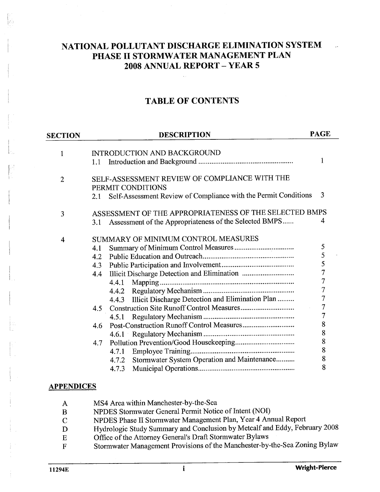### NATIONAL POLLUTANT DISCHARGE ELIMINATION SYSTEM PHASE II STORMWATER MANAGEMENT PLAN 2008 ANNUAL REPORT - YEAR 5

### TABLE OF CONTENTS

| <b>SECTION</b>    | <b>DESCRIPTION</b>                                                     | <b>PAGE</b>    |
|-------------------|------------------------------------------------------------------------|----------------|
|                   |                                                                        |                |
| $\mathbf{1}$      | INTRODUCTION AND BACKGROUND                                            | 1              |
|                   | 1.1                                                                    |                |
| $\overline{2}$    | SELF-ASSESSMENT REVIEW OF COMPLIANCE WITH THE                          |                |
|                   | PERMIT CONDITIONS                                                      |                |
|                   | Self-Assessment Review of Compliance with the Permit Conditions<br>2.1 | 3              |
| 3                 | ASSESSMENT OF THE APPROPRIATENESS OF THE SELECTED BMPS                 |                |
|                   | Assessment of the Appropriateness of the Selected BMPS<br>3.1          | 4              |
| 4                 | SUMMARY OF MINIMUM CONTROL MEASURES                                    |                |
|                   | 4.1                                                                    | 5              |
|                   | 4.2                                                                    | $rac{5}{5}$    |
|                   | 4.3                                                                    |                |
|                   | 4.4                                                                    | $\overline{7}$ |
|                   | 4.4.1                                                                  | $\overline{7}$ |
|                   | 4.4.2                                                                  | $\overline{7}$ |
|                   | Illicit Discharge Detection and Elimination Plan<br>4.4.3              | $\overline{7}$ |
|                   | 4.5                                                                    | $\overline{7}$ |
|                   | 4.5.1                                                                  | $\overline{7}$ |
|                   | 4.6                                                                    | 8              |
|                   |                                                                        | 8              |
|                   | 4.7                                                                    | 8              |
|                   | 4.7.1                                                                  | 8              |
|                   | Stormwater System Operation and Maintenance<br>4.7.2                   | 8              |
|                   | 4.7.3                                                                  | 8              |
| <b>APPENDICES</b> |                                                                        |                |

### APPENDICES

- $\mathbf{A}$ MS4 Area within Manchester-by-the-Sea
- NPDES Stormwater General Permit Notice of Intent (NOI) B
- NPDES Phase II Stormwater Management Plan, Year 4 Anual Report  $\mathcal{C}$
- Hydrologic Study Summary and Conclusion by Metcalf and Eddy, February 2008 D
- Office of the Attorney General's Draft Stormwater Bylaws  ${\bf E}$
- Stormwater Management Provisions of the Manchester-by-the-Sea Zoning Bylaw  $\mathbf{F}$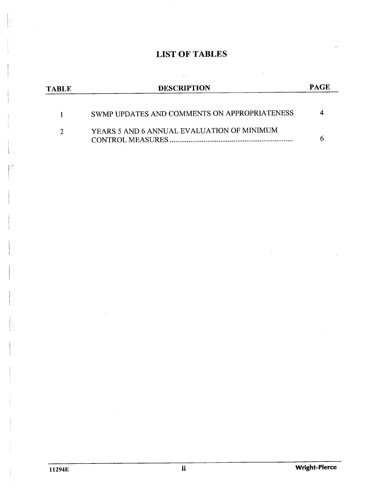## LIST OF TABLES

| TABLE | <b>DESCRIPTION</b>                           | PAGE |
|-------|----------------------------------------------|------|
|       | SWMP UPDATES AND COMMENTS ON APPROPRIATENESS |      |
|       | YEARS 5 AND 6 ANNUAL EVALUATION OF MINIMUM   |      |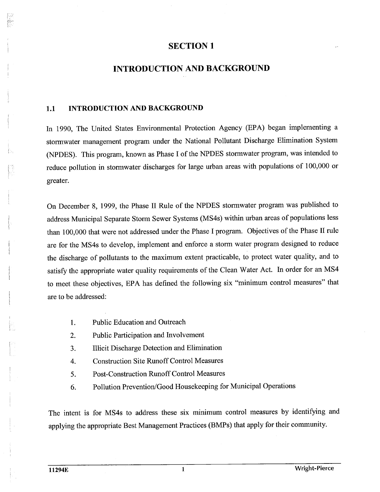### INTRODUCTION AND BACKGROUND

### 1.1 INTRODUCTION AND BACKGROUND

In 1990, The United States Environmental Protection Agency (EPA) began implementing a stormwater management program under the National Pollutant Discharge Elimination System (NDES). This program, known as Phase I of the NPDES stormwater program, was intended to reduce pollution in stormwater discharges for large urban areas with populations of 100,000 or greater.

On December 8, 1999, the Phase II Rule of the NPDES stormwater program was published to address Municipal Separate Storm Sewer Systems (MS4s) within urban areas of populations less than 100,000 that were not addressed under the Phase I program. Objectives of the Phase II rule are for the MS4s to develop, implement and enforce a storm water program designed to reduce the discharge of pollutants to the maximum extent practicable, to protect water quality, and to satisfy the appropriate water quality requirements of the Clean Water Act. In order for an MS4 to meet these objectives, EPA has defined the following six "minimum control measures" that are to be addressed:

- 1. Public Education and Outreach
- Public Participation and Involvement 2.
- 3. Ilicit Discharge Detection and Elimination
- Construction Site Runoff Control Measures 4.
- 5. Post-Construction Runoff Control Measures
- Pollution Prevention/Good Housekeeping for Municipal Operations 6.

The intent is for MS4s to address these six minimum control measures by identifying and applying the appropriate Best Management Practices (BMPs) that apply for their community.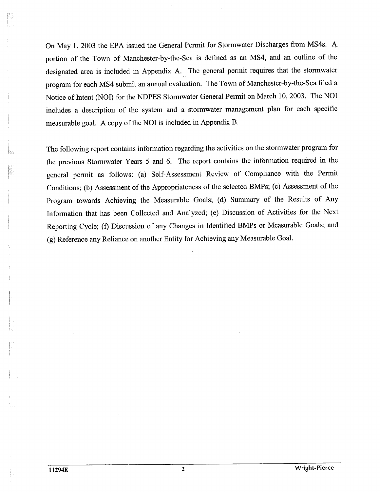On May 1, 2003 the EPA issued the General Permit for Stormwater Discharges from MS4s. A portion of the Town of Manchester-by-the-Sea is defined as an MS4, and an outline of the designated area is included in Appendix A. The general permit requires that the stormwater program for each MS4 submit an annual evaluation. The Town of Manchester-by-the-Sea filed a Notice of Intent (NOI) for the NDPES Stormwater General Permit on March 10, 2003. The NOI includes a description of the system and a stormwater management plan for each specific measurable goal. A copy of the NOI is included in Appendix

The following report contains information regarding the activities on the stormwater program for the previous Stormwater Years 5 and 6. The report contains the information required in the general permit as follows: (a) Self-Assessment Review of Compliance with the Permit Conditions; (b) Assessment of the Appropriateness of the selected BMPs; (c) Assessment of the Program towards Achieving the Measurable Goals; (d) Summary of the Results of Any Information that has been Collected and Analyzed; (e) Discussion of Activities for the Next Reporting Cycle; (f) Discussion of any Changes in Identified BMPs or Measurable Goals; and (g) Reference any Reliance on another Entity for Achieving any Measurable Goal.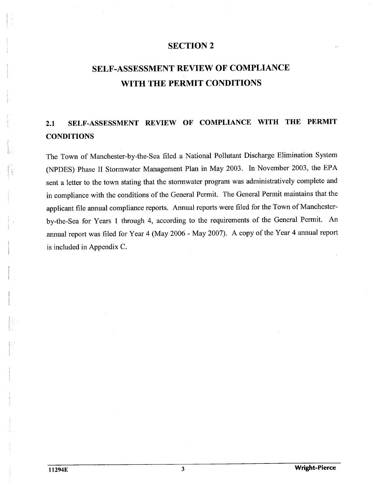## SELF-ASSESSMENT REVIEW OF COMPLIANCE WITH THE PERMIT CONDITIONS

## 2.1 SELF-ASSESSMENT REVIEW OF COMPLIANCE WITH THE PERMIT **CONDITIONS**

The Town of Manchester-by-the-Sea fied a National Pollutant Discharge Elimination System (NDES) Phase II Stormwater Management Plan in May 2003. In November 2003, the EP A sent a letter to the town stating that the stormwater program was administratively complete and in compliance with the conditions of the General Permit. The General Permit maintains that the applicant file annual compliance reports. Annual reports were filed for the Town of Manchesterby-the-Sea for Years 1 through 4, according to the requirements of the General Permit. annual report was fied for Year 4 (May 2006 - May 2007). A copy of the Year 4 annual report is included in Appendix C.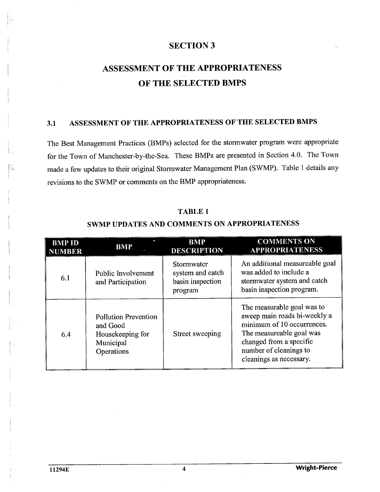## ASSESSMENT OF THE APPROPRIATENESS OF THE SELECTED BMPS

### ASSESSMENT OF THE APPROPRIATENESS OF THE SELECTED BMPS  $3.1$

The Best Management Practices (BMPs) selected for the stormwater program were appropriate for the Town of Manchester-by-the-Sea. These BMPs are presented in Section 4.0. The Town made a few updates to their original Stormwater Management Plan (SWMP). Table 1 details any revisions to the SWMP or comments on the BMP appropriateness.

### TABLE 1

|                                | <b>SWMP UPDATES AND COMMENTS ON APPROPRIATENESS</b>                                    |                                                               |                                                                                                                                                                                                      |
|--------------------------------|----------------------------------------------------------------------------------------|---------------------------------------------------------------|------------------------------------------------------------------------------------------------------------------------------------------------------------------------------------------------------|
| <b>BMP ID</b><br><b>NUMBER</b> | <b>BMP</b>                                                                             | <b>BMP</b><br><b>DESCRIPTION</b>                              | <b>COMMENTS ON</b><br><b>APPROPRIATENESS</b>                                                                                                                                                         |
| 6.1                            | Public Involvement<br>and Participation                                                | Stormwater<br>system and catch<br>basin inspection<br>program | An additional measureable goal<br>was added to include a<br>stormwater system and catch<br>basin inspection program.                                                                                 |
| 6.4                            | <b>Pollution Prevention</b><br>and Good<br>Housekeeping for<br>Municipal<br>Operations | Street sweeping                                               | The measurable goal was to<br>sweep main roads bi-weekly a<br>minimum of 10 occurrences.<br>The measureable goal was<br>changed from a specific<br>number of cleanings to<br>cleanings as necessary. |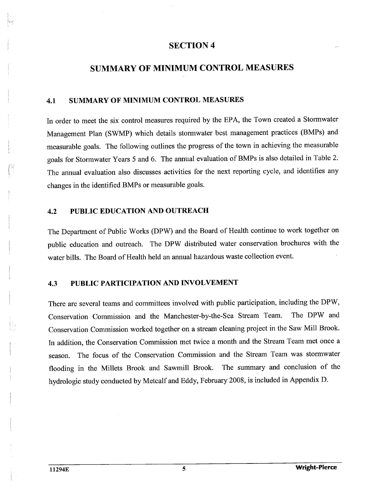### SUMMARY OF MINIMUM CONTROL MEASURES

### SUMMARY OF MINIMUM CONTROL MEASURES 4.1

In order to meet the six control measures required by the EPA, the Town created a Stormwater Management Plan (SWMP) which details stormwater best management practices (BMPs) and measurable goals. The following outlines the progress of the town in achieving the measurable goals for Stormwater Years 5 and 6. The annual evaluation of BMPs is also detailed in Table 2. The annual evaluation also discusses activities for the next reporting cycle, and identifies any changes in the identified BMPs or measurable goals.

### PUBLIC EDUCATION AND OUTREACH  $4.2$

The Department of Public Works (DPW) and the Board of Health continue to work together on public education and outreach. The DPW distributed water conservation brochures with the water bils. The Board of Health held an annual hazardous waste collection event.

### PUBLIC PARTICIPATION AND INVOLVEMENT 4.3

There are several teams and committees involved with public participation, including the DPW Conservation Commission and the Manchester-by-the-Sea Stream Team. The DPW and Conservation Commission worked together on a stream cleaning project in the Saw Mil Brook. In addition, the Conservation Commission met twice a month and the Stream Team met once a season. The focus of the Conservation Commission and the Stream Team was stormwater flooding in the Millets Brook and Sawmill Brook. The summary and conclusion of the hydrologic study conducted by Metcalf and Eddy, February 2008, is included in Appendix D.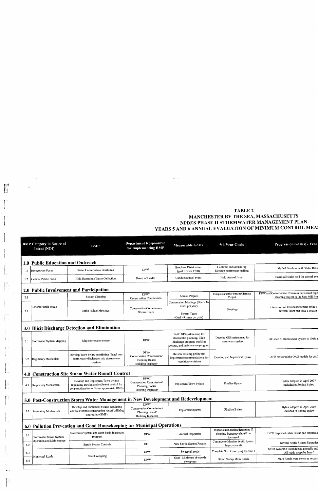### **TABLE 2** MANCHESTER BY THE SEA, MASSACHUSETTS Complete and Cleaning and Cleaning and Cleaning and Cleaning and Cleaning and Cleaning and Cleaning and Cleaning and Cleaning and Cleaning and Cleaning and Cleaning and Cleaning and Cleaning and Cleaning and Cleaning and C develop stone continue and annual maintain annual mailiar annual mailiar annual mailiar annual mailiar annual mailiar annual<br>Continue annual mail annual mail annual mail annual mail ann annual mail ann ann ann ann ann ann ann ann ann a NPDES PHASE II STORMWATER MANAGEMENT PLAN |<br>Hold Annual Event<br>|-Project Meetings

|     |                                                  |                                                                                                  |                                                                                  |                                                                                                                            | <b>TABLE 2</b><br>MANCHESTER BY THE SEA, MASSACHUSETTS | NPDES PHASE II STORMWATER MANAGEMENT PLAN<br>YEARS 5 AND 6 ANNUAL EVALUATION OF MINIMUM CONTROL MEA |
|-----|--------------------------------------------------|--------------------------------------------------------------------------------------------------|----------------------------------------------------------------------------------|----------------------------------------------------------------------------------------------------------------------------|--------------------------------------------------------|-----------------------------------------------------------------------------------------------------|
|     | <b>BMP Category in Notice of</b><br>Intent (NOI) | <b>BMP</b>                                                                                       | <b>Department Responsible</b><br>for Implementing BMP                            | <b>Measurable Goals</b>                                                                                                    | 5th Year Goals                                         | Progress on Goal(s) - Year                                                                          |
|     | 1.0 Public Education and Outreach                |                                                                                                  |                                                                                  |                                                                                                                            |                                                        |                                                                                                     |
| 1.1 | Homeowner Focus                                  | <b>Water Conservation Brochures</b>                                                              | <b>DPW</b>                                                                       | <b>Brochure Distribution</b><br>(goal of over 1700)                                                                        | Continue annual mailing<br>Develop stormwater mailing  | Mailed Brochure with Water Bills                                                                    |
| 1.2 | General Public Focus                             | Hold Hazardous Waste Collection                                                                  | Board of Health                                                                  | Conduct annual event                                                                                                       | <b>Hold Annual Event</b>                               | Board of Health held the annual eve                                                                 |
|     |                                                  | 2.0 Public Involvement and Participation                                                         |                                                                                  |                                                                                                                            |                                                        |                                                                                                     |
| 2.1 |                                                  | <b>Stream Cleaning</b>                                                                           | DPW/<br><b>Conservation Commission</b>                                           | Annual Project                                                                                                             | Complete another Stream Cleaning<br>Project            | DPW and Conservation Commission worked toge<br>cleaning project in the Saw Mill Bro                 |
| 2.2 | General Public Focus                             | <b>Stake Holder Meetings</b>                                                                     | Conservation Commission/<br>Stream Team                                          | Conservation Meetings (Goal - 16<br>times per year)<br><b>Stream Team</b>                                                  | Meetings                                               | Conservation Commission meet twice a<br>Srteam Team met once a season                               |
|     |                                                  |                                                                                                  |                                                                                  | (Goal - 9 times per year)                                                                                                  |                                                        |                                                                                                     |
|     |                                                  | 3.0 Illicit Discharge Detection and Elimination                                                  |                                                                                  |                                                                                                                            |                                                        |                                                                                                     |
| 3.1 | Stormwater System Mapping                        | Map stormwater system                                                                            | <b>DPW</b>                                                                       | Build GIS system map for<br>stormwater planning, illicit<br>discharge program, tracking<br>system, and maintenance program | Develop GIS system map for<br>stormwater system        | GIS map of storm sewer system is 100% o                                                             |
| 3.2 | Regulatory Mechanism                             | Develop Town bylaw prohibiting illegal non-<br>storm water discharges into storm sewer<br>system | DPW/<br>Conservation Commission/<br>Planning Board/<br><b>Building Inspector</b> | Review existing policy and<br>implement recommendations for<br>regulatory revisions                                        | Develop and Implement Bylaw                            | DPW reviewed the OAG models for draft                                                               |
|     |                                                  | 4.0 Construction Site Storm Water Runoff Control                                                 |                                                                                  |                                                                                                                            |                                                        |                                                                                                     |
|     |                                                  | Develop and implement Town bylaws                                                                | DPW/<br><b>Conservation Commission/</b>                                          |                                                                                                                            |                                                        | Bylaw adopted in April 2007                                                                         |

 $\downarrow$ 

 $\mathbf{R}$ 

 $\begin{bmatrix} 0 & 1 \\ 1 & 1 \\ 1 & 1 \end{bmatrix}$ 

 $\begin{bmatrix} 1 & 0 \\ 0 & 1 \end{bmatrix}$ 

 $\begin{bmatrix} 1 & 1 \\ 1 & 1 \end{bmatrix}$ 

 $\begin{bmatrix} 1 & 0 \\ 0 & 1 \end{bmatrix}$ 

|     |                           |                                                                                                                                    |                                                                                  | system, and maintenance program                                                     |                                                                                |                                                                            |
|-----|---------------------------|------------------------------------------------------------------------------------------------------------------------------------|----------------------------------------------------------------------------------|-------------------------------------------------------------------------------------|--------------------------------------------------------------------------------|----------------------------------------------------------------------------|
| 3.2 | Regulatory Mechanism      | Develop Town bylaw prohibiting illegal non-<br>storm water discharges into storm sewer<br>system                                   | DPW/<br>Conservation Commission/<br>Planning Board/<br><b>Building Inspector</b> | Review existing policy and<br>implement recommendations for<br>regulatory revisions | Develop and Implement Bylaw                                                    | DPW reviewed the OAG models for draf                                       |
|     |                           | 4.0 Construction Site Storm Water Runoff Control                                                                                   |                                                                                  |                                                                                     |                                                                                |                                                                            |
|     | 4.1 Regulatory Mechanism  | Develop and implement Town bylaws<br>regulating erosion and sediment control for<br>construction sites utilizing appropriate BMPs  | DPW/<br>Conservation Commission/<br>Planning Board/<br><b>Building Inspector</b> | Implement Town bylaws                                                               | Finalize Bylaw                                                                 | Bylaw adopted in April 2007<br>Included in Zoning Bylaw                    |
|     |                           | 5.0 Post-Construction Storm Water Management in New Development and Redevelopment                                                  |                                                                                  |                                                                                     |                                                                                |                                                                            |
| 5.1 | Regulatory Mechanism      | Develop and implement bylaws regulating<br>controls for post-construction runoff utilizing.<br>appropriate BMPs                    | DPW/<br>Conservation Commission/<br>Planning Board/                              | Implement bylaws                                                                    | Finalize Bylaw                                                                 | Bylaw adopted in April 2007<br>Included in Zoning Bylaw                    |
|     |                           |                                                                                                                                    | <b>Building Inspector</b>                                                        |                                                                                     |                                                                                |                                                                            |
|     |                           |                                                                                                                                    |                                                                                  |                                                                                     |                                                                                |                                                                            |
| 6.1 | Stormwater Sewer System   | 6.0 Pollution Prevention and Good Housekeeping for Municipal Operations<br>Stormwater system and catch basin inspection<br>program | <b>DPW</b>                                                                       | Annual Inspection                                                                   | Inspect catch basins/determine if<br>cleaning frequency should be<br>increased |                                                                            |
| 6.2 | Operation and Maintenance | Septic System Controls                                                                                                             | <b>BOH</b>                                                                       | New Septic System Repairs                                                           | Continue to Monitor Septic System                                              | DPW Inspected catch basins and cleaned a<br>Several Septic System Upgrades |
| 6.3 |                           | Street sweeping                                                                                                                    | <b>DPW</b>                                                                       | Sweep all roads                                                                     | Improvements<br>Complete Street Sweeping by June 1                             | Street sweeping is conducted annually and<br>All roads swept by June 1     |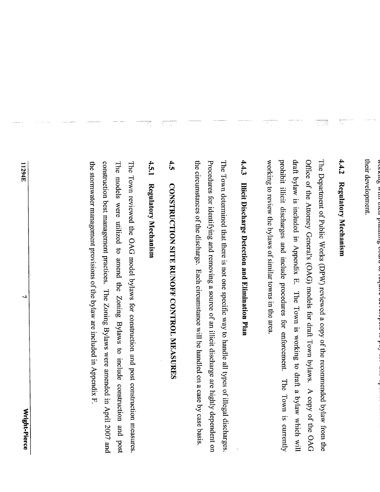wurde wur  $\cos \alpha$  guarant rom

their development.

şÇ,

T 78

The Department of Public Works (DPW) reviewed a copy of the recommended bylaw from the Offce of the Attorney General's (OAG) models for draft Town bylaws. A copy of the OAG draft bylaw is included in  $\mathbb{R}^n$  in  $\mathbb{R}^n$  in  $\mathbb{R}^n$  which will be to define a by  $\mathbb{R}^n$  which will be to define a by  $\mathbb{R}^n$  will be to define a by  $\mathbb{R}^n$  will be to define a by  $\mathbb{R}^n$  will be 4.4.2 Regulatory Mechanism<br>The Department of Public Works (DPW) reviewed a copy of the recommended bylaw from the<br>Office of the Attorney General's (OAG) models for draft Town bylaws. A copy of the OAG<br>draft bylaw is includ The Town determined that the Town determined that the  $\Xi$  on  $\Xi$  is not one specific way to  $\Xi$  $P$  Procedures for identifying a source of an initial value of an initial value of an initial value of an initial value of an initial value of an initial value of an initial value of an initial value of an initial value o the circumstances of the discrete wild by case by case by case by case by case by case by case by case by case  $\sim$ The Town reviewed the OAG model by the OAG model by  $\mathbb{R}^n$  and post construction measures. The operator measures in  $\mathbb{R}^n$  and  $\mathbb{R}^n$  and  $\mathbb{R}^n$  and  $\mathbb{R}^n$  and  $\mathbb{R}^n$  and  $\mathbb{R}^n$  and  $\mathbb{R}^n$  The models were used to another were used to include the  $\mathbb{Z}$  by  $\mathbb{Z}$  by  $\mathbb{Z}$  and  $\mathbb{Z}$  by  $\mathbb{Z}$  by  $\mathbb{Z}$  by  $\mathbb{Z}$  by  $\mathbb{Z}$  by  $\mathbb{Z}$  by  $\mathbb{Z}$  by  $\mathbb{Z}$  by  $\mathbb{Z}$  by  $\mathbb{Z}$  by  $\mathbb{Z}$ construction best management practices. The Zoning Bylaws were amended in  $\mathbb{R}^n$  and  $\mathbb{R}^n$ 

problem in contract discharges and include problems and include procedures in the second procedure procedures  $\ddot{a}$  review to review the bylaws in the area. The area in the area in the area. In the area in the area. In the area. In the area. In the second similar towns in the area. In the second similar towns in the area. In t  $\frac{4}{5}$  is Discovered Detection and  $\frac{4}{5}$  is Discovered Detection and  $\frac{4}{5}$ CONSTRUCTION SITE RUNOFF CONTROL MEASURES IN SUPERIOR CONTROL MEASURES IN SUPERIOR CONTROL MEASURES IN SUPERIOR IN SUPERIOR CONTROL MEASURES IN SUPERIOR CONTROL MEASURES IN SUPERIOR CONTROL MEASURES IN SUPERIOR CONTROL MEA The Town reviewed the OAG model bylaws for construction and post construction measures.<br>The models were utilized to amend the Zoning Bylaws to include construction and post construction best management practices. The Zoni the storm  $\mathbb{F}_p$  of the bylaw are included in Appendix F. By are included in Appendix F. By an  $\mathbb{F}_p$ 

11294E

د

their development.

Wright-Pierce